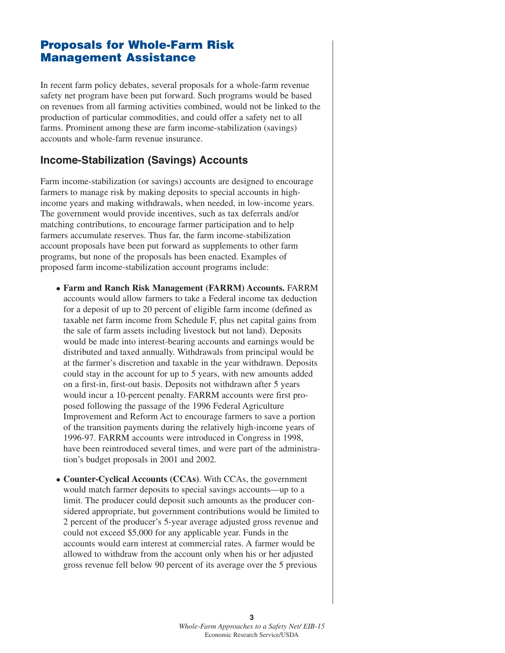# **Proposals for Whole-Farm Risk Management Assistance**

In recent farm policy debates, several proposals for a whole-farm revenue safety net program have been put forward. Such programs would be based on revenues from all farming activities combined, would not be linked to the production of particular commodities, and could offer a safety net to all farms. Prominent among these are farm income-stabilization (savings) accounts and whole-farm revenue insurance.

### **Income-Stabilization (Savings) Accounts**

Farm income-stabilization (or savings) accounts are designed to encourage farmers to manage risk by making deposits to special accounts in highincome years and making withdrawals, when needed, in low-income years. The government would provide incentives, such as tax deferrals and/or matching contributions, to encourage farmer participation and to help farmers accumulate reserves. Thus far, the farm income-stabilization account proposals have been put forward as supplements to other farm programs, but none of the proposals has been enacted. Examples of proposed farm income-stabilization account programs include:

- **Farm and Ranch Risk Management (FARRM) Accounts.** FARRM accounts would allow farmers to take a Federal income tax deduction for a deposit of up to 20 percent of eligible farm income (defined as taxable net farm income from Schedule F, plus net capital gains from the sale of farm assets including livestock but not land). Deposits would be made into interest-bearing accounts and earnings would be distributed and taxed annually. Withdrawals from principal would be at the farmer's discretion and taxable in the year withdrawn. Deposits could stay in the account for up to 5 years, with new amounts added on a first-in, first-out basis. Deposits not withdrawn after 5 years would incur a 10-percent penalty. FARRM accounts were first proposed following the passage of the 1996 Federal Agriculture Improvement and Reform Act to encourage farmers to save a portion of the transition payments during the relatively high-income years of 1996-97. FARRM accounts were introduced in Congress in 1998, have been reintroduced several times, and were part of the administration's budget proposals in 2001 and 2002.
- **Counter-Cyclical Accounts (CCAs)**. With CCAs, the government would match farmer deposits to special savings accounts—up to a limit. The producer could deposit such amounts as the producer considered appropriate, but government contributions would be limited to 2 percent of the producer's 5-year average adjusted gross revenue and could not exceed \$5,000 for any applicable year. Funds in the accounts would earn interest at commercial rates. A farmer would be allowed to withdraw from the account only when his or her adjusted gross revenue fell below 90 percent of its average over the 5 previous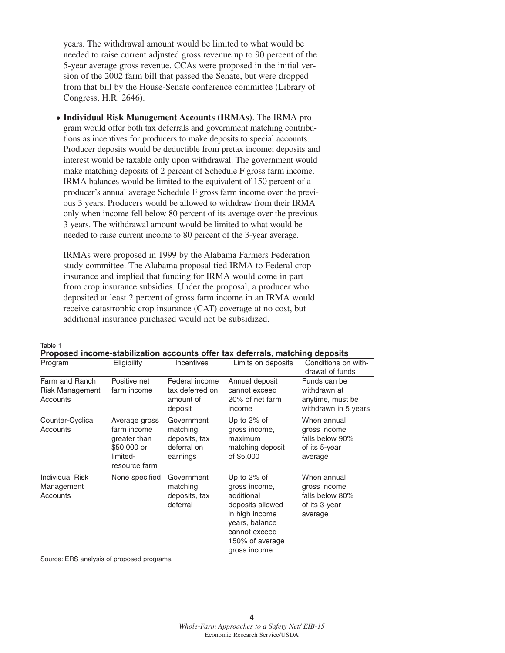years. The withdrawal amount would be limited to what would be needed to raise current adjusted gross revenue up to 90 percent of the 5-year average gross revenue. CCAs were proposed in the initial version of the 2002 farm bill that passed the Senate, but were dropped from that bill by the House-Senate conference committee (Library of Congress, H.R. 2646).

- **Individual Risk Management Accounts (IRMAs)**. The IRMA program would offer both tax deferrals and government matching contributions as incentives for producers to make deposits to special accounts. Producer deposits would be deductible from pretax income; deposits and interest would be taxable only upon withdrawal. The government would make matching deposits of 2 percent of Schedule F gross farm income. IRMA balances would be limited to the equivalent of 150 percent of a producer's annual average Schedule F gross farm income over the previous 3 years. Producers would be allowed to withdraw from their IRMA only when income fell below 80 percent of its average over the previous 3 years. The withdrawal amount would be limited to what would be needed to raise current income to 80 percent of the 3-year average.

IRMAs were proposed in 1999 by the Alabama Farmers Federation study committee. The Alabama proposal tied IRMA to Federal crop insurance and implied that funding for IRMA would come in part from crop insurance subsidies. Under the proposal, a producer who deposited at least 2 percent of gross farm income in an IRMA would receive catastrophic crop insurance (CAT) coverage at no cost, but additional insurance purchased would not be subsidized.

| Program                                          | Eligibility                                                                              | Incentives                                                         | Limits on deposits                                                                                                                                        | Conditions on with-<br>drawal of funds                                     |
|--------------------------------------------------|------------------------------------------------------------------------------------------|--------------------------------------------------------------------|-----------------------------------------------------------------------------------------------------------------------------------------------------------|----------------------------------------------------------------------------|
| Farm and Ranch<br>Risk Management<br>Accounts    | Positive net<br>farm income                                                              | Federal income<br>tax deferred on<br>amount of<br>deposit          | Annual deposit<br>cannot exceed<br>20% of net farm<br>income                                                                                              | Funds can be<br>withdrawn at<br>anytime, must be<br>withdrawn in 5 years   |
| Counter-Cyclical<br>Accounts                     | Average gross<br>farm income<br>greater than<br>\$50,000 or<br>limited-<br>resource farm | Government<br>matching<br>deposits, tax<br>deferral on<br>earnings | Up to $2\%$ of<br>gross income,<br>maximum<br>matching deposit<br>of \$5,000                                                                              | When annual<br>gross income<br>falls below 90%<br>of its 5-year<br>average |
| <b>Individual Risk</b><br>Management<br>Accounts | None specified                                                                           | Government<br>matching<br>deposits, tax<br>deferral                | Up to $2\%$ of<br>gross income,<br>additional<br>deposits allowed<br>in high income<br>years, balance<br>cannot exceed<br>150% of average<br>gross income | When annual<br>gross income<br>falls below 80%<br>of its 3-year<br>average |

Table 1 **Proposed income-stabilization accounts offer tax deferrals, matching deposits**

Source: ERS analysis of proposed programs.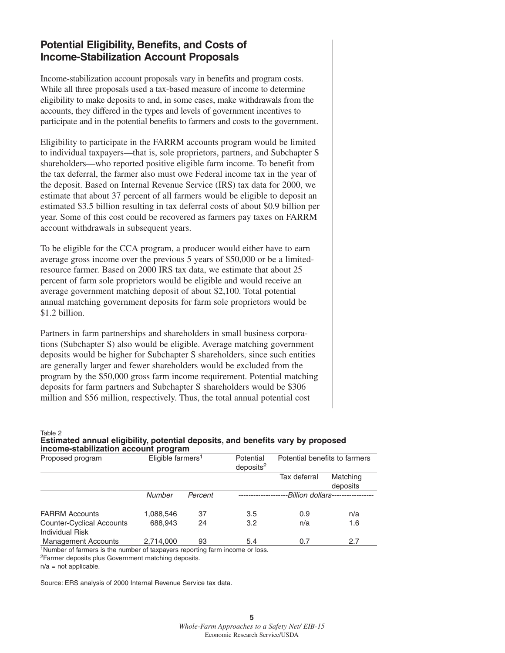## **Potential Eligibility, Benefits, and Costs of Income-Stabilization Account Proposals**

Income-stabilization account proposals vary in benefits and program costs. While all three proposals used a tax-based measure of income to determine eligibility to make deposits to and, in some cases, make withdrawals from the accounts, they differed in the types and levels of government incentives to participate and in the potential benefits to farmers and costs to the government.

Eligibility to participate in the FARRM accounts program would be limited to individual taxpayers—that is, sole proprietors, partners, and Subchapter S shareholders—who reported positive eligible farm income. To benefit from the tax deferral, the farmer also must owe Federal income tax in the year of the deposit. Based on Internal Revenue Service (IRS) tax data for 2000, we estimate that about 37 percent of all farmers would be eligible to deposit an estimated \$3.5 billion resulting in tax deferral costs of about \$0.9 billion per year. Some of this cost could be recovered as farmers pay taxes on FARRM account withdrawals in subsequent years.

To be eligible for the CCA program, a producer would either have to earn average gross income over the previous 5 years of \$50,000 or be a limitedresource farmer. Based on 2000 IRS tax data, we estimate that about 25 percent of farm sole proprietors would be eligible and would receive an average government matching deposit of about \$2,100. Total potential annual matching government deposits for farm sole proprietors would be \$1.2 billion.

Partners in farm partnerships and shareholders in small business corporations (Subchapter S) also would be eligible. Average matching government deposits would be higher for Subchapter S shareholders, since such entities are generally larger and fewer shareholders would be excluded from the program by the \$50,000 gross farm income requirement. Potential matching deposits for farm partners and Subchapter S shareholders would be \$306 million and \$56 million, respectively. Thus, the total annual potential cost

#### Table 2 **Estimated annual eligibility, potential deposits, and benefits vary by proposed income-stabilization account program**

| . . <i>.</i>                                        |                               |         |                                    |                               |                      |  |  |  |  |
|-----------------------------------------------------|-------------------------------|---------|------------------------------------|-------------------------------|----------------------|--|--|--|--|
| Proposed program                                    | Eligible farmers <sup>1</sup> |         | Potential<br>deposits <sup>2</sup> | Potential benefits to farmers |                      |  |  |  |  |
|                                                     |                               |         |                                    | Tax deferral                  | Matching<br>deposits |  |  |  |  |
|                                                     | Number                        | Percent |                                    | Billion dollars.              |                      |  |  |  |  |
| <b>FARRM Accounts</b>                               | 1,088,546                     | 37      | 3.5                                | 0.9                           | n/a                  |  |  |  |  |
| <b>Counter-Cyclical Accounts</b><br>Individual Risk | 688,943                       | 24      | 3.2                                | n/a                           | 1.6                  |  |  |  |  |
| <b>Management Accounts</b>                          | 2,714,000                     | 93      | 5.4                                | 0.7                           | 2.7                  |  |  |  |  |

1Number of farmers is the number of taxpayers reporting farm income or loss.

2Farmer deposits plus Government matching deposits.

 $n/a$  = not applicable.

Source: ERS analysis of 2000 Internal Revenue Service tax data.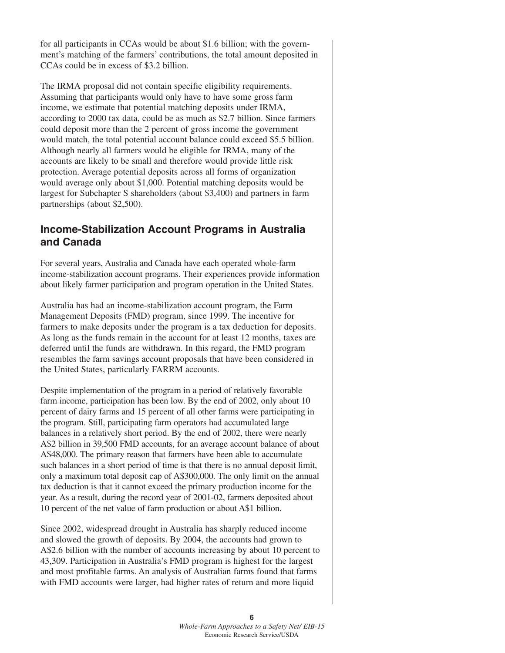for all participants in CCAs would be about \$1.6 billion; with the government's matching of the farmers' contributions, the total amount deposited in CCAs could be in excess of \$3.2 billion.

The IRMA proposal did not contain specific eligibility requirements. Assuming that participants would only have to have some gross farm income, we estimate that potential matching deposits under IRMA, according to 2000 tax data, could be as much as \$2.7 billion. Since farmers could deposit more than the 2 percent of gross income the government would match, the total potential account balance could exceed \$5.5 billion. Although nearly all farmers would be eligible for IRMA, many of the accounts are likely to be small and therefore would provide little risk protection. Average potential deposits across all forms of organization would average only about \$1,000. Potential matching deposits would be largest for Subchapter S shareholders (about \$3,400) and partners in farm partnerships (about \$2,500).

## **Income-Stabilization Account Programs in Australia and Canada**

For several years, Australia and Canada have each operated whole-farm income-stabilization account programs. Their experiences provide information about likely farmer participation and program operation in the United States.

Australia has had an income-stabilization account program, the Farm Management Deposits (FMD) program, since 1999. The incentive for farmers to make deposits under the program is a tax deduction for deposits. As long as the funds remain in the account for at least 12 months, taxes are deferred until the funds are withdrawn. In this regard, the FMD program resembles the farm savings account proposals that have been considered in the United States, particularly FARRM accounts.

Despite implementation of the program in a period of relatively favorable farm income, participation has been low. By the end of 2002, only about 10 percent of dairy farms and 15 percent of all other farms were participating in the program. Still, participating farm operators had accumulated large balances in a relatively short period. By the end of 2002, there were nearly A\$2 billion in 39,500 FMD accounts, for an average account balance of about A\$48,000. The primary reason that farmers have been able to accumulate such balances in a short period of time is that there is no annual deposit limit, only a maximum total deposit cap of A\$300,000. The only limit on the annual tax deduction is that it cannot exceed the primary production income for the year. As a result, during the record year of 2001-02, farmers deposited about 10 percent of the net value of farm production or about A\$1 billion.

Since 2002, widespread drought in Australia has sharply reduced income and slowed the growth of deposits. By 2004, the accounts had grown to A\$2.6 billion with the number of accounts increasing by about 10 percent to 43,309. Participation in Australia's FMD program is highest for the largest and most profitable farms. An analysis of Australian farms found that farms with FMD accounts were larger, had higher rates of return and more liquid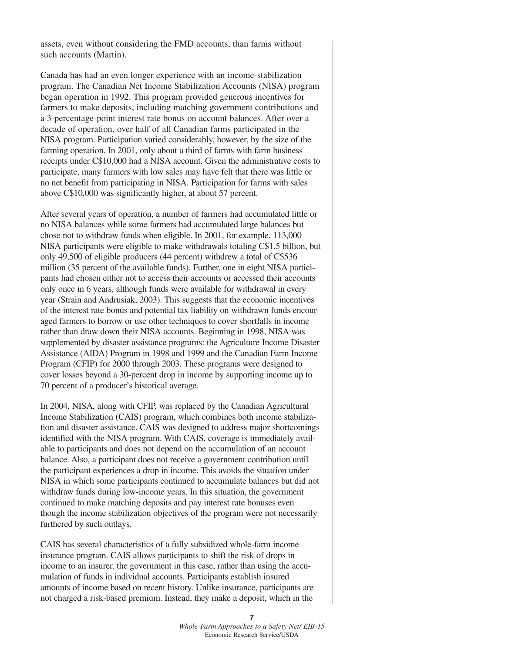assets, even without considering the FMD accounts, than farms without such accounts (Martin).

Canada has had an even longer experience with an income-stabilization program. The Canadian Net Income Stabilization Accounts (NISA) program began operation in 1992. This program provided generous incentives for farmers to make deposits, including matching government contributions and a 3-percentage-point interest rate bonus on account balances. After over a decade of operation, over half of all Canadian farms participated in the NISA program. Participation varied considerably, however, by the size of the farming operation. In 2001, only about a third of farms with farm business receipts under C\$10,000 had a NISA account. Given the administrative costs to participate, many farmers with low sales may have felt that there was little or no net benefit from participating in NISA. Participation for farms with sales above C\$10,000 was significantly higher, at about 57 percent.

After several years of operation, a number of farmers had accumulated little or no NISA balances while some farmers had accumulated large balances but chose not to withdraw funds when eligible. In 2001, for example, 113,000 NISA participants were eligible to make withdrawals totaling C\$1.5 billion, but only 49,500 of eligible producers (44 percent) withdrew a total of C\$536 million (35 percent of the available funds). Further, one in eight NISA participants had chosen either not to access their accounts or accessed their accounts only once in 6 years, although funds were available for withdrawal in every year (Strain and Andrusiak, 2003). This suggests that the economic incentives of the interest rate bonus and potential tax liability on withdrawn funds encouraged farmers to borrow or use other techniques to cover shortfalls in income rather than draw down their NISA accounts. Beginning in 1998, NISA was supplemented by disaster assistance programs: the Agriculture Income Disaster Assistance (AIDA) Program in 1998 and 1999 and the Canadian Farm Income Program (CFIP) for 2000 through 2003. These programs were designed to cover losses beyond a 30-percent drop in income by supporting income up to 70 percent of a producer's historical average.

In 2004, NISA, along with CFIP, was replaced by the Canadian Agricultural Income Stabilization (CAIS) program, which combines both income stabilization and disaster assistance. CAIS was designed to address major shortcomings identified with the NISA program. With CAIS, coverage is immediately available to participants and does not depend on the accumulation of an account balance. Also, a participant does not receive a government contribution until the participant experiences a drop in income. This avoids the situation under NISA in which some participants continued to accumulate balances but did not withdraw funds during low-income years. In this situation, the government continued to make matching deposits and pay interest rate bonuses even though the income stabilization objectives of the program were not necessarily furthered by such outlays.

CAIS has several characteristics of a fully subsidized whole-farm income insurance program. CAIS allows participants to shift the risk of drops in income to an insurer, the government in this case, rather than using the accumulation of funds in individual accounts. Participants establish insured amounts of income based on recent history. Unlike insurance, participants are not charged a risk-based premium. Instead, they make a deposit, which in the

> **7** *Whole-Farm Approaches to a Safety Net/ EIB-15* Economic Research Service/USDA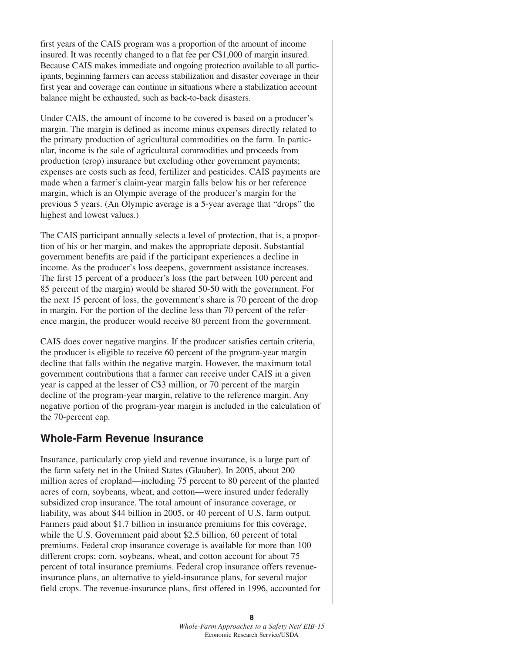first years of the CAIS program was a proportion of the amount of income insured. It was recently changed to a flat fee per C\$1,000 of margin insured. Because CAIS makes immediate and ongoing protection available to all participants, beginning farmers can access stabilization and disaster coverage in their first year and coverage can continue in situations where a stabilization account balance might be exhausted, such as back-to-back disasters.

Under CAIS, the amount of income to be covered is based on a producer's margin. The margin is defined as income minus expenses directly related to the primary production of agricultural commodities on the farm. In particular, income is the sale of agricultural commodities and proceeds from production (crop) insurance but excluding other government payments; expenses are costs such as feed, fertilizer and pesticides. CAIS payments are made when a farmer's claim-year margin falls below his or her reference margin, which is an Olympic average of the producer's margin for the previous 5 years. (An Olympic average is a 5-year average that "drops" the highest and lowest values.)

The CAIS participant annually selects a level of protection, that is, a proportion of his or her margin, and makes the appropriate deposit. Substantial government benefits are paid if the participant experiences a decline in income. As the producer's loss deepens, government assistance increases. The first 15 percent of a producer's loss (the part between 100 percent and 85 percent of the margin) would be shared 50-50 with the government. For the next 15 percent of loss, the government's share is 70 percent of the drop in margin. For the portion of the decline less than 70 percent of the reference margin, the producer would receive 80 percent from the government.

CAIS does cover negative margins. If the producer satisfies certain criteria, the producer is eligible to receive 60 percent of the program-year margin decline that falls within the negative margin. However, the maximum total government contributions that a farmer can receive under CAIS in a given year is capped at the lesser of C\$3 million, or 70 percent of the margin decline of the program-year margin, relative to the reference margin. Any negative portion of the program-year margin is included in the calculation of the 70-percent cap.

### **Whole-Farm Revenue Insurance**

Insurance, particularly crop yield and revenue insurance, is a large part of the farm safety net in the United States (Glauber). In 2005, about 200 million acres of cropland—including 75 percent to 80 percent of the planted acres of corn, soybeans, wheat, and cotton—were insured under federally subsidized crop insurance. The total amount of insurance coverage, or liability, was about \$44 billion in 2005, or 40 percent of U.S. farm output. Farmers paid about \$1.7 billion in insurance premiums for this coverage, while the U.S. Government paid about \$2.5 billion, 60 percent of total premiums. Federal crop insurance coverage is available for more than 100 different crops; corn, soybeans, wheat, and cotton account for about 75 percent of total insurance premiums. Federal crop insurance offers revenueinsurance plans, an alternative to yield-insurance plans, for several major field crops. The revenue-insurance plans, first offered in 1996, accounted for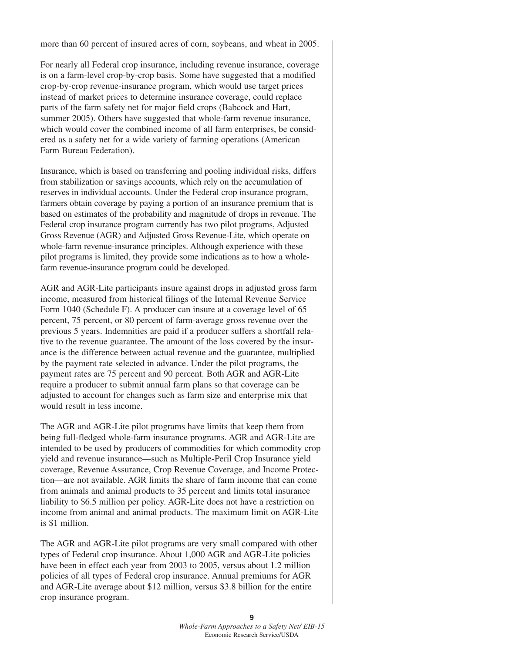more than 60 percent of insured acres of corn, soybeans, and wheat in 2005.

For nearly all Federal crop insurance, including revenue insurance, coverage is on a farm-level crop-by-crop basis. Some have suggested that a modified crop-by-crop revenue-insurance program, which would use target prices instead of market prices to determine insurance coverage, could replace parts of the farm safety net for major field crops (Babcock and Hart, summer 2005). Others have suggested that whole-farm revenue insurance, which would cover the combined income of all farm enterprises, be considered as a safety net for a wide variety of farming operations (American Farm Bureau Federation).

Insurance, which is based on transferring and pooling individual risks, differs from stabilization or savings accounts, which rely on the accumulation of reserves in individual accounts. Under the Federal crop insurance program, farmers obtain coverage by paying a portion of an insurance premium that is based on estimates of the probability and magnitude of drops in revenue. The Federal crop insurance program currently has two pilot programs, Adjusted Gross Revenue (AGR) and Adjusted Gross Revenue-Lite, which operate on whole-farm revenue-insurance principles. Although experience with these pilot programs is limited, they provide some indications as to how a wholefarm revenue-insurance program could be developed.

AGR and AGR-Lite participants insure against drops in adjusted gross farm income, measured from historical filings of the Internal Revenue Service Form 1040 (Schedule F). A producer can insure at a coverage level of 65 percent, 75 percent, or 80 percent of farm-average gross revenue over the previous 5 years. Indemnities are paid if a producer suffers a shortfall relative to the revenue guarantee. The amount of the loss covered by the insurance is the difference between actual revenue and the guarantee, multiplied by the payment rate selected in advance. Under the pilot programs, the payment rates are 75 percent and 90 percent. Both AGR and AGR-Lite require a producer to submit annual farm plans so that coverage can be adjusted to account for changes such as farm size and enterprise mix that would result in less income.

The AGR and AGR-Lite pilot programs have limits that keep them from being full-fledged whole-farm insurance programs. AGR and AGR-Lite are intended to be used by producers of commodities for which commodity crop yield and revenue insurance—such as Multiple-Peril Crop Insurance yield coverage, Revenue Assurance, Crop Revenue Coverage, and Income Protection—are not available. AGR limits the share of farm income that can come from animals and animal products to 35 percent and limits total insurance liability to \$6.5 million per policy. AGR-Lite does not have a restriction on income from animal and animal products. The maximum limit on AGR-Lite is \$1 million.

The AGR and AGR-Lite pilot programs are very small compared with other types of Federal crop insurance. About 1,000 AGR and AGR-Lite policies have been in effect each year from 2003 to 2005, versus about 1.2 million policies of all types of Federal crop insurance. Annual premiums for AGR and AGR-Lite average about \$12 million, versus \$3.8 billion for the entire crop insurance program.